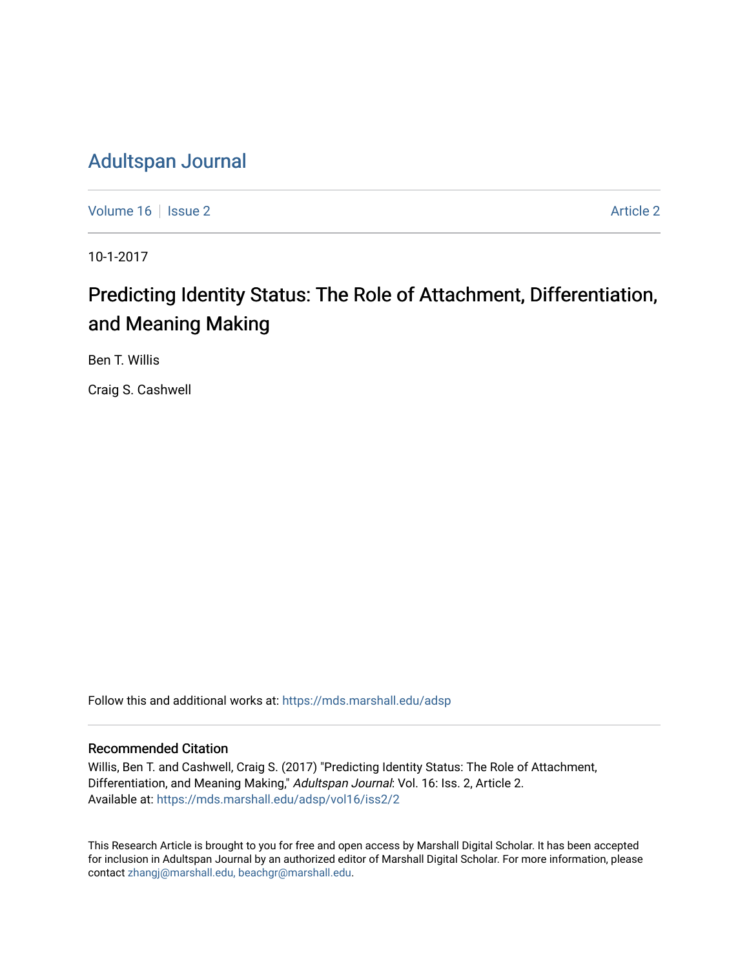## [Adultspan Journal](https://mds.marshall.edu/adsp)

[Volume 16](https://mds.marshall.edu/adsp/vol16) September 2 [Article 2](https://mds.marshall.edu/adsp/vol16/iss2/2) Article 2 Article 2 Article 2 Article 2 Article 2

10-1-2017

# Predicting Identity Status: The Role of Attachment, Differentiation, and Meaning Making

Ben T. Willis

Craig S. Cashwell

Follow this and additional works at: [https://mds.marshall.edu/adsp](https://mds.marshall.edu/adsp?utm_source=mds.marshall.edu%2Fadsp%2Fvol16%2Fiss2%2F2&utm_medium=PDF&utm_campaign=PDFCoverPages) 

### Recommended Citation

Willis, Ben T. and Cashwell, Craig S. (2017) "Predicting Identity Status: The Role of Attachment, Differentiation, and Meaning Making," Adultspan Journal: Vol. 16: Iss. 2, Article 2. Available at: [https://mds.marshall.edu/adsp/vol16/iss2/2](https://mds.marshall.edu/adsp/vol16/iss2/2?utm_source=mds.marshall.edu%2Fadsp%2Fvol16%2Fiss2%2F2&utm_medium=PDF&utm_campaign=PDFCoverPages) 

This Research Article is brought to you for free and open access by Marshall Digital Scholar. It has been accepted for inclusion in Adultspan Journal by an authorized editor of Marshall Digital Scholar. For more information, please contact [zhangj@marshall.edu, beachgr@marshall.edu](mailto:zhangj@marshall.edu,%20beachgr@marshall.edu).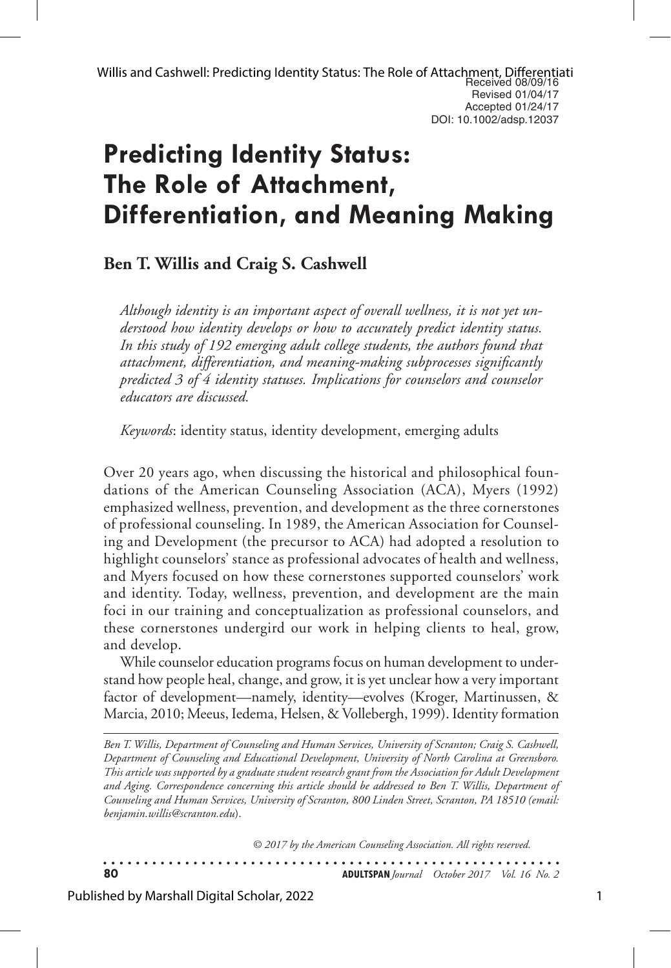# **Predicting Identity Status: The Role of Attachment, Differentiation, and Meaning Making**

## **Ben T. Willis and Craig S. Cashwell**

*Although identity is an important aspect of overall wellness, it is not yet understood how identity develops or how to accurately predict identity status. In this study of 192 emerging adult college students, the authors found that attachment, differentiation, and meaning-making subprocesses significantly predicted 3 of 4 identity statuses. Implications for counselors and counselor educators are discussed.* 

*Keywords*: identity status, identity development, emerging adults

Over 20 years ago, when discussing the historical and philosophical foundations of the American Counseling Association (ACA), Myers (1992) emphasized wellness, prevention, and development as the three cornerstones of professional counseling. In 1989, the American Association for Counseling and Development (the precursor to ACA) had adopted a resolution to highlight counselors' stance as professional advocates of health and wellness, and Myers focused on how these cornerstones supported counselors' work and identity. Today, wellness, prevention, and development are the main foci in our training and conceptualization as professional counselors, and these cornerstones undergird our work in helping clients to heal, grow, and develop.

While counselor education programs focus on human development to understand how people heal, change, and grow, it is yet unclear how a very important factor of development—namely, identity—evolves (Kroger, Martinussen, & Marcia, 2010; Meeus, Iedema, Helsen, & Vollebergh, 1999). Identity formation

*Ben T. Willis, Department of Counseling and Human Services, University of Scranton; Craig S. Cashwell, Department of Counseling and Educational Development, University of North Carolina at Greensboro. This article was supported by a graduate student research grant from the Association for Adult Development and Aging. Correspondence concerning this article should be addressed to Ben T. Willis, Department of Counseling and Human Services, University of Scranton, 800 Linden Street, Scranton, PA 18510 (email: benjamin.willis@scranton.edu*).

*© 2017 by the American Counseling Association. All rights reserved.*

| - 80 | <b>ADULTSPAN</b> Journal October 2017 Vol. 16 No. 2 |  |
|------|-----------------------------------------------------|--|

Published by Marshall Digital Scholar, 2022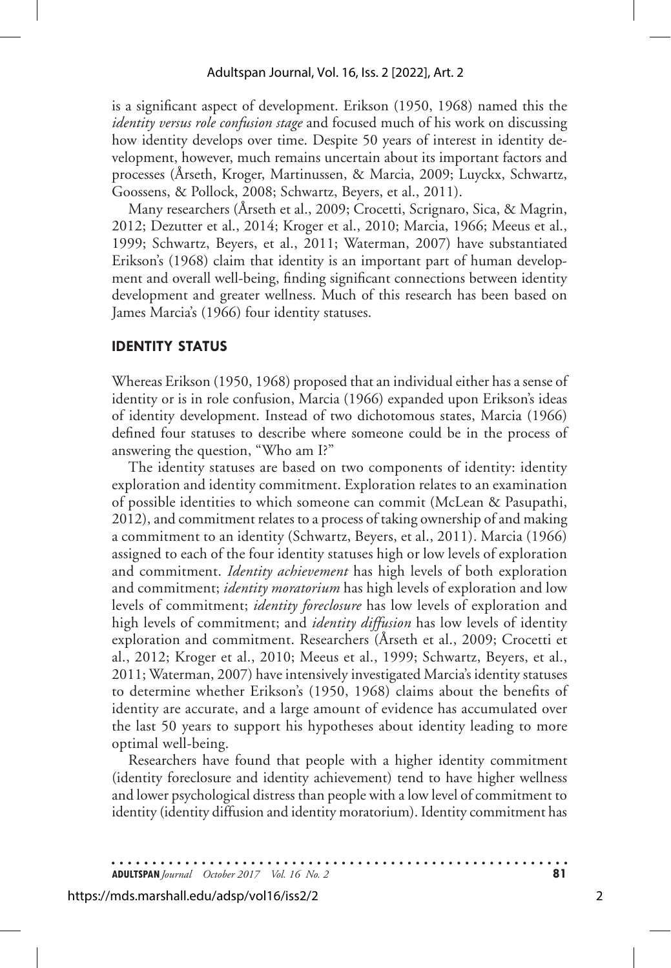is a significant aspect of development. Erikson (1950, 1968) named this the *identity versus role confusion stage* and focused much of his work on discussing how identity develops over time. Despite 50 years of interest in identity development, however, much remains uncertain about its important factors and processes (Årseth, Kroger, Martinussen, & Marcia, 2009; Luyckx, Schwartz, Goossens, & Pollock, 2008; Schwartz, Beyers, et al., 2011).

Many researchers (Årseth et al., 2009; Crocetti, Scrignaro, Sica, & Magrin, 2012; Dezutter et al., 2014; Kroger et al., 2010; Marcia, 1966; Meeus et al., 1999; Schwartz, Beyers, et al., 2011; Waterman, 2007) have substantiated Erikson's (1968) claim that identity is an important part of human development and overall well-being, finding significant connections between identity development and greater wellness. Much of this research has been based on James Marcia's (1966) four identity statuses.

#### **IDENTITY STATUS**

Whereas Erikson (1950, 1968) proposed that an individual either has a sense of identity or is in role confusion, Marcia (1966) expanded upon Erikson's ideas of identity development. Instead of two dichotomous states, Marcia (1966) defined four statuses to describe where someone could be in the process of answering the question, "Who am I?"

The identity statuses are based on two components of identity: identity exploration and identity commitment. Exploration relates to an examination of possible identities to which someone can commit (McLean & Pasupathi, 2012), and commitment relates to a process of taking ownership of and making a commitment to an identity (Schwartz, Beyers, et al., 2011). Marcia (1966) assigned to each of the four identity statuses high or low levels of exploration and commitment. *Identity achievement* has high levels of both exploration and commitment; *identity moratorium* has high levels of exploration and low levels of commitment; *identity foreclosure* has low levels of exploration and high levels of commitment; and *identity diffusion* has low levels of identity exploration and commitment. Researchers (Årseth et al., 2009; Crocetti et al., 2012; Kroger et al., 2010; Meeus et al., 1999; Schwartz, Beyers, et al., 2011; Waterman, 2007) have intensively investigated Marcia's identity statuses to determine whether Erikson's (1950, 1968) claims about the benefits of identity are accurate, and a large amount of evidence has accumulated over the last 50 years to support his hypotheses about identity leading to more optimal well-being.

Researchers have found that people with a higher identity commitment (identity foreclosure and identity achievement) tend to have higher wellness and lower psychological distress than people with a low level of commitment to identity (identity diffusion and identity moratorium). Identity commitment has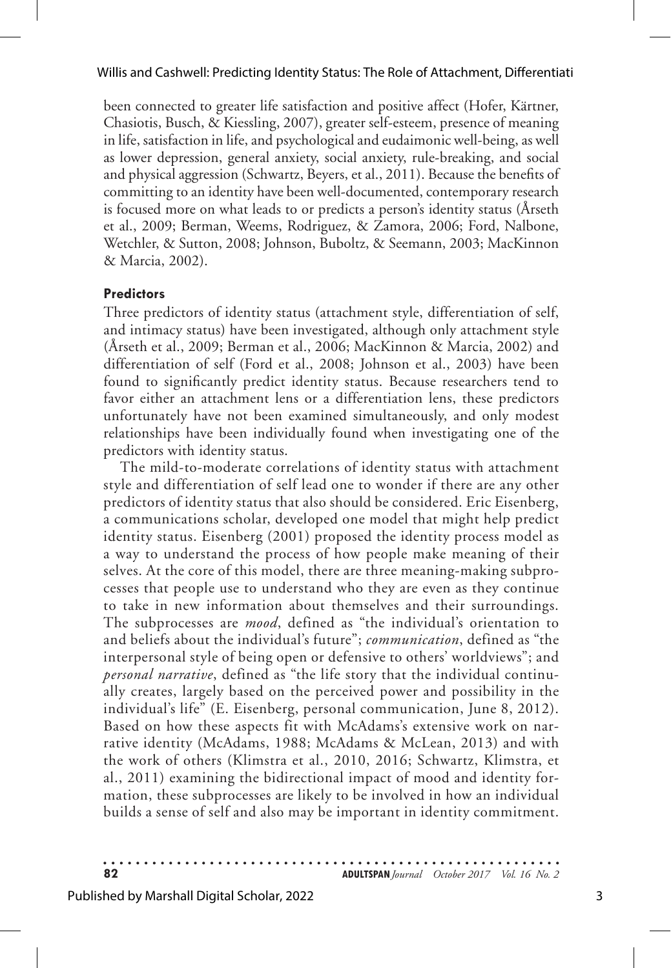been connected to greater life satisfaction and positive affect (Hofer, Kärtner, Chasiotis, Busch, & Kiessling, 2007), greater self-esteem, presence of meaning in life, satisfaction in life, and psychological and eudaimonic well-being, as well as lower depression, general anxiety, social anxiety, rule-breaking, and social and physical aggression (Schwartz, Beyers, et al., 2011). Because the benefits of committing to an identity have been well-documented, contemporary research is focused more on what leads to or predicts a person's identity status (Årseth et al., 2009; Berman, Weems, Rodriguez, & Zamora, 2006; Ford, Nalbone, Wetchler, & Sutton, 2008; Johnson, Buboltz, & Seemann, 2003; MacKinnon & Marcia, 2002).

#### **Predictors**

Three predictors of identity status (attachment style, differentiation of self, and intimacy status) have been investigated, although only attachment style (Årseth et al., 2009; Berman et al., 2006; MacKinnon & Marcia, 2002) and differentiation of self (Ford et al., 2008; Johnson et al., 2003) have been found to significantly predict identity status. Because researchers tend to favor either an attachment lens or a differentiation lens, these predictors unfortunately have not been examined simultaneously, and only modest relationships have been individually found when investigating one of the predictors with identity status.

The mild-to-moderate correlations of identity status with attachment style and differentiation of self lead one to wonder if there are any other predictors of identity status that also should be considered. Eric Eisenberg, a communications scholar, developed one model that might help predict identity status. Eisenberg (2001) proposed the identity process model as a way to understand the process of how people make meaning of their selves. At the core of this model, there are three meaning-making subprocesses that people use to understand who they are even as they continue to take in new information about themselves and their surroundings. The subprocesses are *mood*, defined as "the individual's orientation to and beliefs about the individual's future"; *communication*, defined as "the interpersonal style of being open or defensive to others' worldviews"; and *personal narrative*, defined as "the life story that the individual continually creates, largely based on the perceived power and possibility in the individual's life" (E. Eisenberg, personal communication, June 8, 2012). Based on how these aspects fit with McAdams's extensive work on narrative identity (McAdams, 1988; McAdams & McLean, 2013) and with the work of others (Klimstra et al., 2010, 2016; Schwartz, Klimstra, et al., 2011) examining the bidirectional impact of mood and identity formation, these subprocesses are likely to be involved in how an individual builds a sense of self and also may be important in identity commitment.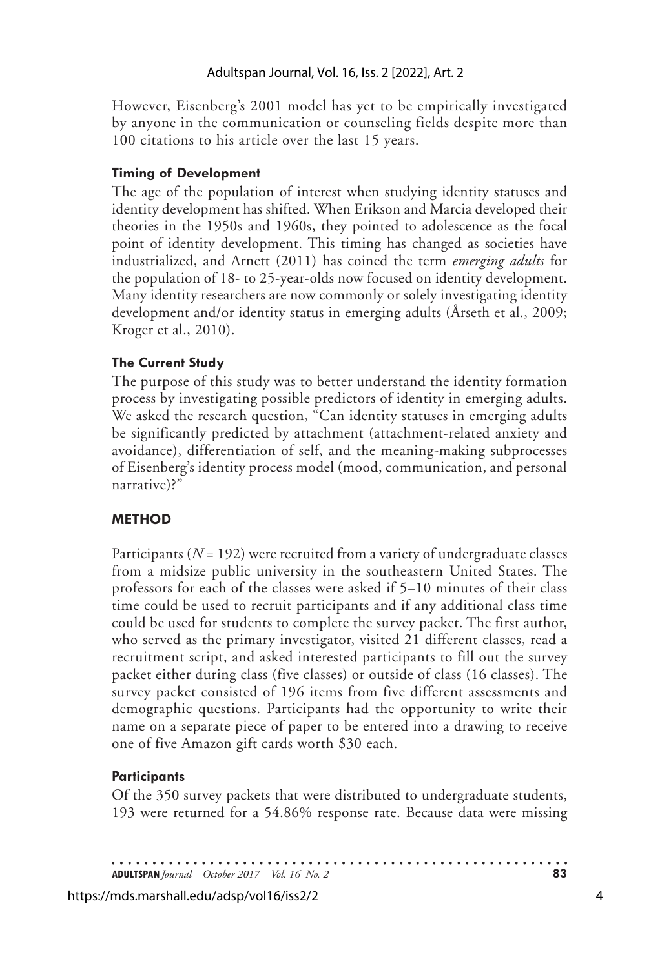However, Eisenberg's 2001 model has yet to be empirically investigated by anyone in the communication or counseling fields despite more than 100 citations to his article over the last 15 years.

## **Timing of Development**

The age of the population of interest when studying identity statuses and identity development has shifted. When Erikson and Marcia developed their theories in the 1950s and 1960s, they pointed to adolescence as the focal point of identity development. This timing has changed as societies have industrialized, and Arnett (2011) has coined the term *emerging adults* for the population of 18- to 25-year-olds now focused on identity development. Many identity researchers are now commonly or solely investigating identity development and/or identity status in emerging adults (Årseth et al., 2009; Kroger et al., 2010).

## **The Current Study**

The purpose of this study was to better understand the identity formation process by investigating possible predictors of identity in emerging adults. We asked the research question, "Can identity statuses in emerging adults be significantly predicted by attachment (attachment-related anxiety and avoidance), differentiation of self, and the meaning-making subprocesses of Eisenberg's identity process model (mood, communication, and personal narrative)?"

## **METHOD**

Participants ( $N = 192$ ) were recruited from a variety of undergraduate classes from a midsize public university in the southeastern United States. The professors for each of the classes were asked if 5–10 minutes of their class time could be used to recruit participants and if any additional class time could be used for students to complete the survey packet. The first author, who served as the primary investigator, visited 21 different classes, read a recruitment script, and asked interested participants to fill out the survey packet either during class (five classes) or outside of class (16 classes). The survey packet consisted of 196 items from five different assessments and demographic questions. Participants had the opportunity to write their name on a separate piece of paper to be entered into a drawing to receive one of five Amazon gift cards worth \$30 each.

## **Participants**

Of the 350 survey packets that were distributed to undergraduate students, 193 were returned for a 54.86% response rate. Because data were missing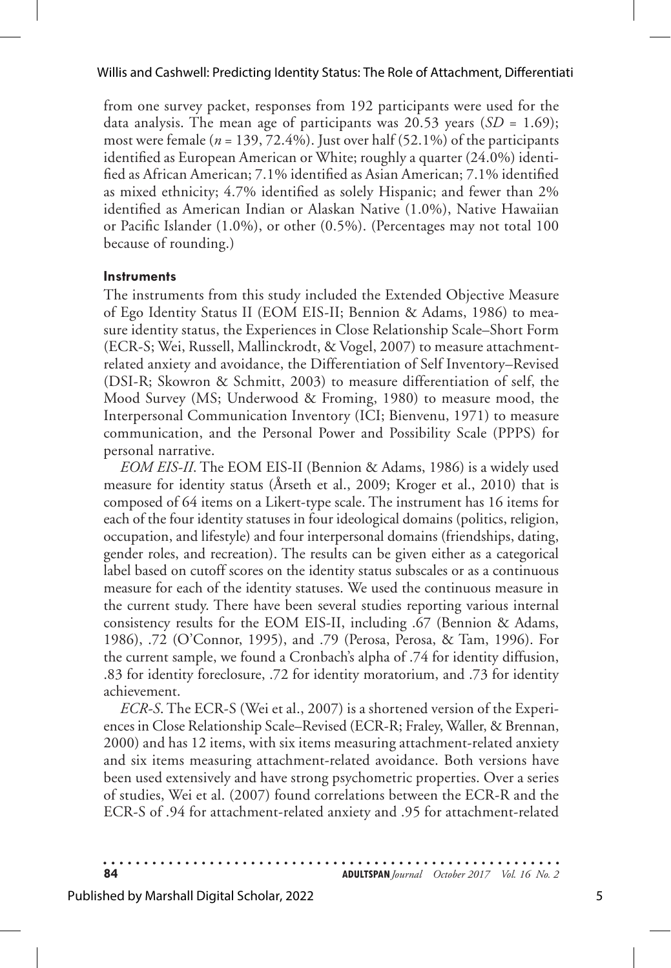from one survey packet, responses from 192 participants were used for the data analysis. The mean age of participants was 20.53 years (*SD* = 1.69); most were female  $(n = 139, 72.4\%)$ . Just over half  $(52.1\%)$  of the participants identified as European American or White; roughly a quarter (24.0%) identified as African American; 7.1% identified as Asian American; 7.1% identified as mixed ethnicity; 4.7% identified as solely Hispanic; and fewer than 2% identified as American Indian or Alaskan Native (1.0%), Native Hawaiian or Pacific Islander (1.0%), or other (0.5%). (Percentages may not total 100 because of rounding.)

#### **Instruments**

The instruments from this study included the Extended Objective Measure of Ego Identity Status II (EOM EIS-II; Bennion & Adams, 1986) to measure identity status, the Experiences in Close Relationship Scale–Short Form (ECR-S; Wei, Russell, Mallinckrodt, & Vogel, 2007) to measure attachmentrelated anxiety and avoidance, the Differentiation of Self Inventory–Revised (DSI-R; Skowron & Schmitt, 2003) to measure differentiation of self, the Mood Survey (MS; Underwood & Froming, 1980) to measure mood, the Interpersonal Communication Inventory (ICI; Bienvenu, 1971) to measure communication, and the Personal Power and Possibility Scale (PPPS) for personal narrative.

*EOM EIS-II*. The EOM EIS-II (Bennion & Adams, 1986) is a widely used measure for identity status (Årseth et al., 2009; Kroger et al., 2010) that is composed of 64 items on a Likert-type scale. The instrument has 16 items for each of the four identity statuses in four ideological domains (politics, religion, occupation, and lifestyle) and four interpersonal domains (friendships, dating, gender roles, and recreation). The results can be given either as a categorical label based on cutoff scores on the identity status subscales or as a continuous measure for each of the identity statuses. We used the continuous measure in the current study. There have been several studies reporting various internal consistency results for the EOM EIS-II, including .67 (Bennion & Adams, 1986), .72 (O'Connor, 1995), and .79 (Perosa, Perosa, & Tam, 1996). For the current sample, we found a Cronbach's alpha of .74 for identity diffusion, .83 for identity foreclosure, .72 for identity moratorium, and .73 for identity achievement.

*ECR-S*. The ECR-S (Wei et al., 2007) is a shortened version of the Experiences in Close Relationship Scale–Revised (ECR-R; Fraley, Waller, & Brennan, 2000) and has 12 items, with six items measuring attachment-related anxiety and six items measuring attachment-related avoidance. Both versions have been used extensively and have strong psychometric properties. Over a series of studies, Wei et al. (2007) found correlations between the ECR-R and the ECR-S of .94 for attachment-related anxiety and .95 for attachment-related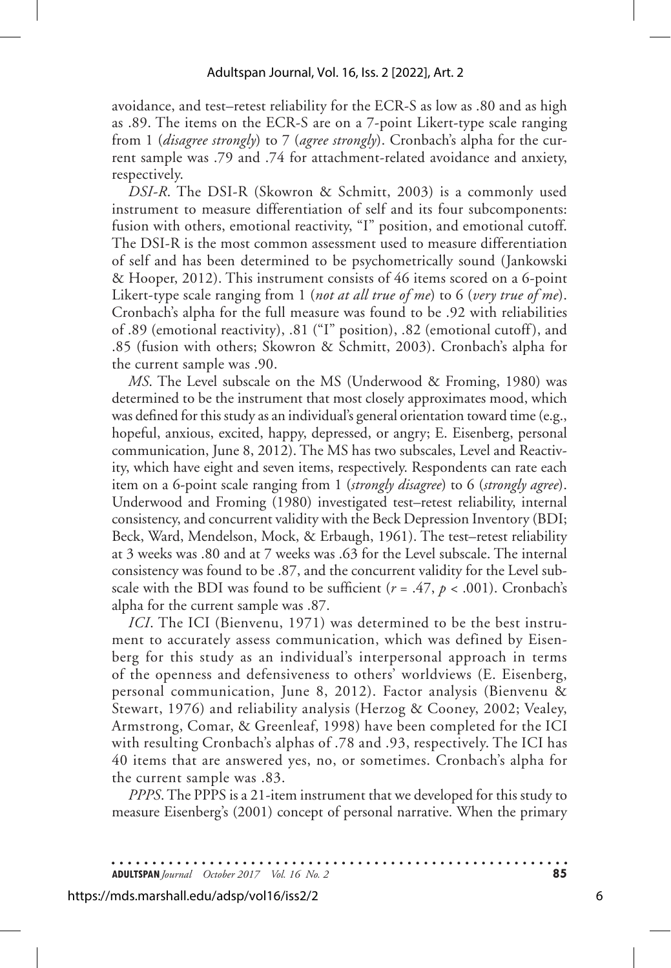avoidance, and test–retest reliability for the ECR-S as low as .80 and as high as .89. The items on the ECR-S are on a 7-point Likert-type scale ranging from 1 (*disagree strongly*) to 7 (*agree strongly*). Cronbach's alpha for the current sample was .79 and .74 for attachment-related avoidance and anxiety, respectively.

*DSI-R*. The DSI-R (Skowron & Schmitt, 2003) is a commonly used instrument to measure differentiation of self and its four subcomponents: fusion with others, emotional reactivity, "I" position, and emotional cutoff. The DSI-R is the most common assessment used to measure differentiation of self and has been determined to be psychometrically sound (Jankowski & Hooper, 2012). This instrument consists of 46 items scored on a 6-point Likert-type scale ranging from 1 (*not at all true of me*) to 6 (*very true of me*). Cronbach's alpha for the full measure was found to be .92 with reliabilities of .89 (emotional reactivity), .81 ("I" position), .82 (emotional cutoff), and .85 (fusion with others; Skowron & Schmitt, 2003). Cronbach's alpha for the current sample was .90.

*MS*. The Level subscale on the MS (Underwood & Froming, 1980) was determined to be the instrument that most closely approximates mood, which was defined for this study as an individual's general orientation toward time (e.g., hopeful, anxious, excited, happy, depressed, or angry; E. Eisenberg, personal communication, June 8, 2012). The MS has two subscales, Level and Reactivity, which have eight and seven items, respectively. Respondents can rate each item on a 6-point scale ranging from 1 (*strongly disagree*) to 6 (*strongly agree*). Underwood and Froming (1980) investigated test–retest reliability, internal consistency, and concurrent validity with the Beck Depression Inventory (BDI; Beck, Ward, Mendelson, Mock, & Erbaugh, 1961). The test–retest reliability at 3 weeks was .80 and at 7 weeks was .63 for the Level subscale. The internal consistency was found to be .87, and the concurrent validity for the Level subscale with the BDI was found to be sufficient  $(r = .47, p < .001)$ . Cronbach's alpha for the current sample was .87.

*ICI*. The ICI (Bienvenu, 1971) was determined to be the best instrument to accurately assess communication, which was defined by Eisenberg for this study as an individual's interpersonal approach in terms of the openness and defensiveness to others' worldviews (E. Eisenberg, personal communication, June 8, 2012). Factor analysis (Bienvenu & Stewart, 1976) and reliability analysis (Herzog & Cooney, 2002; Vealey, Armstrong, Comar, & Greenleaf, 1998) have been completed for the ICI with resulting Cronbach's alphas of .78 and .93, respectively. The ICI has 40 items that are answered yes, no, or sometimes. Cronbach's alpha for the current sample was .83.

*PPPS*. The PPPS is a 21-item instrument that we developed for this study to measure Eisenberg's (2001) concept of personal narrative. When the primary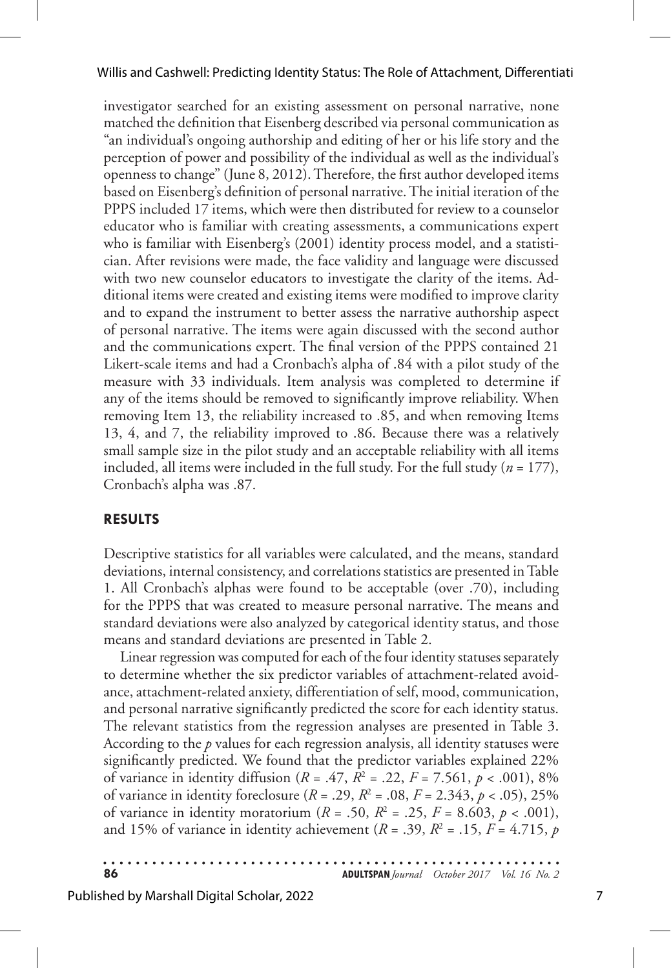investigator searched for an existing assessment on personal narrative, none matched the definition that Eisenberg described via personal communication as "an individual's ongoing authorship and editing of her or his life story and the perception of power and possibility of the individual as well as the individual's openness to change" (June 8, 2012). Therefore, the first author developed items based on Eisenberg's definition of personal narrative. The initial iteration of the PPPS included 17 items, which were then distributed for review to a counselor educator who is familiar with creating assessments, a communications expert who is familiar with Eisenberg's (2001) identity process model, and a statistician. After revisions were made, the face validity and language were discussed with two new counselor educators to investigate the clarity of the items. Additional items were created and existing items were modified to improve clarity and to expand the instrument to better assess the narrative authorship aspect of personal narrative. The items were again discussed with the second author and the communications expert. The final version of the PPPS contained 21 Likert-scale items and had a Cronbach's alpha of .84 with a pilot study of the measure with 33 individuals. Item analysis was completed to determine if any of the items should be removed to significantly improve reliability. When removing Item 13, the reliability increased to .85, and when removing Items 13, 4, and 7, the reliability improved to .86. Because there was a relatively small sample size in the pilot study and an acceptable reliability with all items included, all items were included in the full study. For the full study (*n* = 177), Cronbach's alpha was .87.

#### **RESULTS**

Descriptive statistics for all variables were calculated, and the means, standard deviations, internal consistency, and correlations statistics are presented in Table 1. All Cronbach's alphas were found to be acceptable (over .70), including for the PPPS that was created to measure personal narrative. The means and standard deviations were also analyzed by categorical identity status, and those means and standard deviations are presented in Table 2.

Linear regression was computed for each of the four identity statuses separately to determine whether the six predictor variables of attachment-related avoidance, attachment-related anxiety, differentiation of self, mood, communication, and personal narrative significantly predicted the score for each identity status. The relevant statistics from the regression analyses are presented in Table 3. According to the *p* values for each regression analysis, all identity statuses were significantly predicted. We found that the predictor variables explained 22% of variance in identity diffusion ( $R = .47, R^2 = .22, F = 7.561, p < .001$ ), 8% of variance in identity foreclosure ( $R = .29$ ,  $R^2 = .08$ ,  $F = 2.343$ ,  $p < .05$ ), 25% of variance in identity moratorium ( $R = .50$ ,  $R^2 = .25$ ,  $F = 8.603$ ,  $p < .001$ ), and 15% of variance in identity achievement  $(R = .39, R^2 = .15, F = 4.715, p$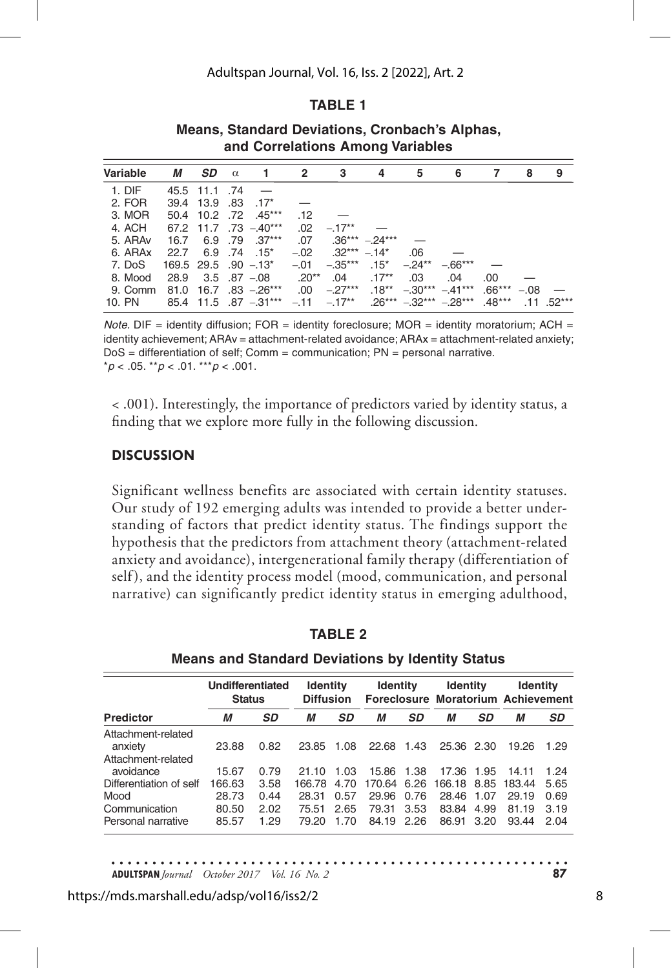#### **TABLE 1**

| <b>Variable</b>     | М | SD.           | $\alpha$ | -1                                                              | -2  | 3                                          | 4 | 5   | 6                                        | 7      | 8      | 9              |
|---------------------|---|---------------|----------|-----------------------------------------------------------------|-----|--------------------------------------------|---|-----|------------------------------------------|--------|--------|----------------|
| $1.$ DIF            |   | 45.5 11.1 .74 |          |                                                                 |     |                                            |   |     |                                          |        |        |                |
| 2. FOR              |   | 39.4 13.9 83  |          | $.17*$                                                          |     |                                            |   |     |                                          |        |        |                |
| 3. MOR              |   |               |          | 50.4 10.2 .72 .45***                                            | .12 |                                            |   |     |                                          |        |        |                |
| 4. ACH              |   |               |          | $67.2$ 11.7 .73 $-.40***$                                       | .02 | $-.17**$                                   |   |     |                                          |        |        |                |
| 5. ARA <sub>v</sub> |   |               |          | 16.7 6.9 .79 .37***                                             |     | $.07$ $.36***$ $-.24***$                   |   |     |                                          |        |        |                |
| 6. ARAx             |   |               |          | 22.7 6.9 .74 .15*                                               |     | $-.02$ $.32*** -.14*$                      |   | .06 |                                          |        |        |                |
| 7. DoS              |   |               |          | 169.5 29.5 .90 -.13*                                            |     | $-.01$ $-.35***$ $.15*$ $-.24**$ $-.66***$ |   |     |                                          |        |        |                |
| 8. Mood             |   |               |          | 28.9 3.5 .87 -.08 .20** .04 .17**                               |     |                                            |   | .03 | .04                                      | .00    |        |                |
| 9. Comm             |   |               |          | 81.0 16.7 .83 $-.26***$ .00 $-.27***$ .18** $-.30***$ $-.41***$ |     |                                            |   |     |                                          | .66*** | $-.08$ |                |
| 10. PN              |   |               |          | $85.4$ 11.5 .87 $-.31***$                                       |     |                                            |   |     | $-.11 - .17***$ .26*** $-.32***$ -.28*** | .48*** |        | $.11$ $.52***$ |

**Means, Standard Deviations, Cronbach's Alphas, and Correlations Among Variables**

*Note.* DIF = identity diffusion; FOR = identity foreclosure; MOR = identity moratorium; ACH = identity achievement; ARAv = attachment-related avoidance; ARAx = attachment-related anxiety;  $DoS =$  differentiation of self; Comm = communication;  $PN =$  personal narrative. \**p* < .05. \*\**p* < .01. \*\*\**p* < .001.

< .001). Interestingly, the importance of predictors varied by identity status, a finding that we explore more fully in the following discussion.

## **DISCUSSION**

Significant wellness benefits are associated with certain identity statuses. Our study of 192 emerging adults was intended to provide a better understanding of factors that predict identity status. The findings support the hypothesis that the predictors from attachment theory (attachment-related anxiety and avoidance), intergenerational family therapy (differentiation of self ), and the identity process model (mood, communication, and personal narrative) can significantly predict identity status in emerging adulthood,

|                                 | <b>Undifferentiated</b><br><b>Status</b> |           | <b>Identity</b><br><b>Diffusion</b> |           | <b>Identity</b> |           | <b>Identity</b> |      | <b>Identity</b><br><b>Foreclosure Moratorium Achievement</b> |           |
|---------------------------------|------------------------------------------|-----------|-------------------------------------|-----------|-----------------|-----------|-----------------|------|--------------------------------------------------------------|-----------|
| <b>Predictor</b>                | М                                        | <b>SD</b> | М                                   | <b>SD</b> | М               | <b>SD</b> | М               | SD   | М                                                            | <b>SD</b> |
| Attachment-related<br>anxiety   | 23.88                                    | 0.82      | 23.85                               | 1.08      | 22.68           | 1.43      | 25.36           | 2.30 | 19.26                                                        | 1.29      |
| Attachment-related<br>avoidance | 15.67                                    | 0.79      | 21.10                               | 1.03      | 15.86           | 1.38      | 17.36           | 1.95 | 14.11                                                        | 1.24      |
| Differentiation of self         | 166.63                                   | 3.58      | 166.78                              | 4.70      | 170.64          | 6.26      | 166.18          | 8.85 | 183.44                                                       | 5.65      |
| Mood                            | 28.73                                    | 0.44      | 28.31                               | 0.57      | 29.96           | 0.76      | 28.46           | 1.07 | 29.19                                                        | 0.69      |
| Communication                   | 80.50                                    | 2.02      | 75.51                               | 2.65      | 79.31           | 3.53      | 83.84           | 4.99 | 81.19                                                        | 3.19      |
| Personal narrative              | 85.57                                    | 1.29      | 79.20                               | 1.70      | 84.19           | 2.26      | 86.91           | 3.20 | 93.44                                                        | 2.04      |

**TABLE 2**

**Means and Standard Deviations by Identity Status**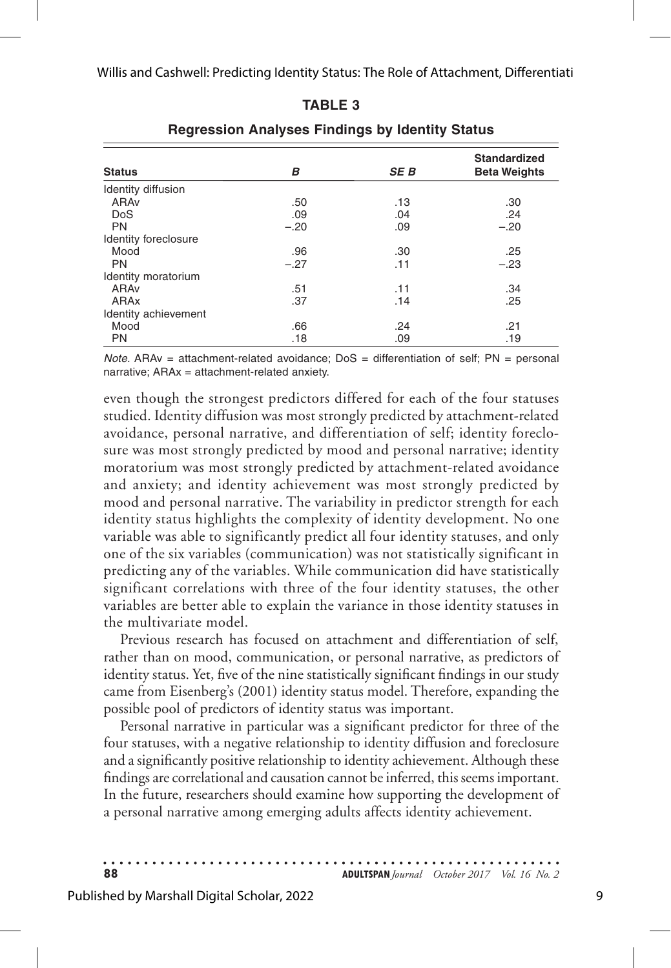|                      |        |            | <b>Standardized</b> |  |  |
|----------------------|--------|------------|---------------------|--|--|
| <b>Status</b>        | в      | <b>SEB</b> | <b>Beta Weights</b> |  |  |
| Identity diffusion   |        |            |                     |  |  |
| ARAv                 | .50    | .13        | .30                 |  |  |
| <b>DoS</b>           | .09    | .04        | .24                 |  |  |
| <b>PN</b>            | $-.20$ | .09        | $-.20$              |  |  |
| Identity foreclosure |        |            |                     |  |  |
| Mood                 | .96    | .30        | .25                 |  |  |
| <b>PN</b>            | $-.27$ | .11        | $-.23$              |  |  |
| Identity moratorium  |        |            |                     |  |  |
| ARAv                 | .51    | .11        | .34                 |  |  |
| ARAx                 | .37    | .14        | .25                 |  |  |
| Identity achievement |        |            |                     |  |  |
| Mood                 | .66    | .24        | .21                 |  |  |
| <b>PN</b>            | .18    | .09        | .19                 |  |  |

**TABLE 3 Regression Analyses Findings by Identity Status**

*Note.* ARAv = attachment-related avoidance; DoS = differentiation of self; PN = personal narrative; ARAx = attachment-related anxiety.

even though the strongest predictors differed for each of the four statuses studied. Identity diffusion was most strongly predicted by attachment-related avoidance, personal narrative, and differentiation of self; identity foreclosure was most strongly predicted by mood and personal narrative; identity moratorium was most strongly predicted by attachment-related avoidance and anxiety; and identity achievement was most strongly predicted by mood and personal narrative. The variability in predictor strength for each identity status highlights the complexity of identity development. No one variable was able to significantly predict all four identity statuses, and only one of the six variables (communication) was not statistically significant in predicting any of the variables. While communication did have statistically significant correlations with three of the four identity statuses, the other variables are better able to explain the variance in those identity statuses in the multivariate model.

Previous research has focused on attachment and differentiation of self, rather than on mood, communication, or personal narrative, as predictors of identity status. Yet, five of the nine statistically significant findings in our study came from Eisenberg's (2001) identity status model. Therefore, expanding the possible pool of predictors of identity status was important.

Personal narrative in particular was a significant predictor for three of the four statuses, with a negative relationship to identity diffusion and foreclosure and a significantly positive relationship to identity achievement. Although these findings are correlational and causation cannot be inferred, this seems important. In the future, researchers should examine how supporting the development of a personal narrative among emerging adults affects identity achievement.

**88 ADULTSPAN***Journal October 2017 Vol. 16 No. 2*

#### Published by Marshall Digital Scholar, 2022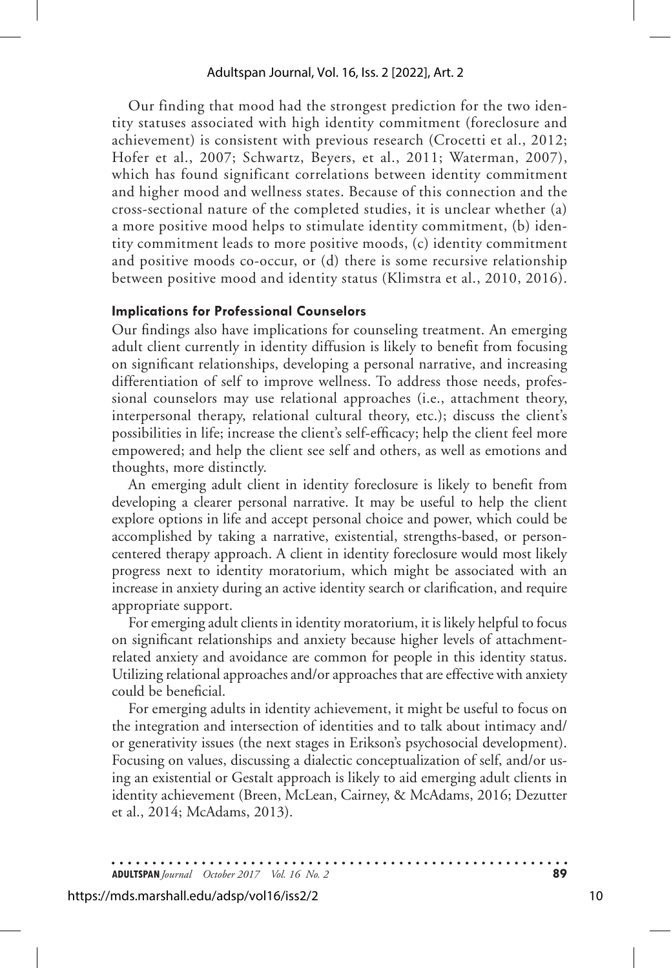Our finding that mood had the strongest prediction for the two identity statuses associated with high identity commitment (foreclosure and achievement) is consistent with previous research (Crocetti et al., 2012; Hofer et al., 2007; Schwartz, Beyers, et al., 2011; Waterman, 2007), which has found significant correlations between identity commitment and higher mood and wellness states. Because of this connection and the cross-sectional nature of the completed studies, it is unclear whether (a) a more positive mood helps to stimulate identity commitment, (b) identity commitment leads to more positive moods, (c) identity commitment and positive moods co-occur, or (d) there is some recursive relationship between positive mood and identity status (Klimstra et al., 2010, 2016).

#### **Implications for Professional Counselors**

Our findings also have implications for counseling treatment. An emerging adult client currently in identity diffusion is likely to benefit from focusing on significant relationships, developing a personal narrative, and increasing differentiation of self to improve wellness. To address those needs, professional counselors may use relational approaches (i.e., attachment theory, interpersonal therapy, relational cultural theory, etc.); discuss the client's possibilities in life; increase the client's self-efficacy; help the client feel more empowered; and help the client see self and others, as well as emotions and thoughts, more distinctly.

An emerging adult client in identity foreclosure is likely to benefit from developing a clearer personal narrative. It may be useful to help the client explore options in life and accept personal choice and power, which could be accomplished by taking a narrative, existential, strengths-based, or personcentered therapy approach. A client in identity foreclosure would most likely progress next to identity moratorium, which might be associated with an increase in anxiety during an active identity search or clarification, and require appropriate support.

For emerging adult clients in identity moratorium, it is likely helpful to focus on significant relationships and anxiety because higher levels of attachmentrelated anxiety and avoidance are common for people in this identity status. Utilizing relational approaches and/or approaches that are effective with anxiety could be beneficial.

For emerging adults in identity achievement, it might be useful to focus on the integration and intersection of identities and to talk about intimacy and/ or generativity issues (the next stages in Erikson's psychosocial development). Focusing on values, discussing a dialectic conceptualization of self, and/or using an existential or Gestalt approach is likely to aid emerging adult clients in identity achievement (Breen, McLean, Cairney, & McAdams, 2016; Dezutter et al., 2014; McAdams, 2013).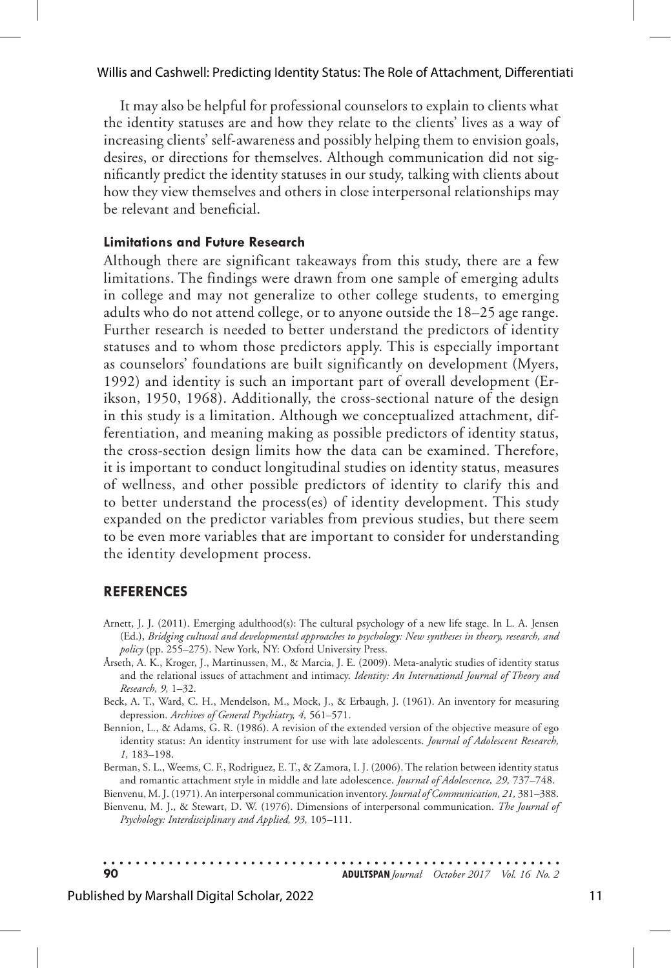It may also be helpful for professional counselors to explain to clients what the identity statuses are and how they relate to the clients' lives as a way of increasing clients' self-awareness and possibly helping them to envision goals, desires, or directions for themselves. Although communication did not significantly predict the identity statuses in our study, talking with clients about how they view themselves and others in close interpersonal relationships may be relevant and beneficial.

#### **Limitations and Future Research**

Although there are significant takeaways from this study, there are a few limitations. The findings were drawn from one sample of emerging adults in college and may not generalize to other college students, to emerging adults who do not attend college, or to anyone outside the 18–25 age range. Further research is needed to better understand the predictors of identity statuses and to whom those predictors apply. This is especially important as counselors' foundations are built significantly on development (Myers, 1992) and identity is such an important part of overall development (Erikson, 1950, 1968). Additionally, the cross-sectional nature of the design in this study is a limitation. Although we conceptualized attachment, differentiation, and meaning making as possible predictors of identity status, the cross-section design limits how the data can be examined. Therefore, it is important to conduct longitudinal studies on identity status, measures of wellness, and other possible predictors of identity to clarify this and to better understand the process(es) of identity development. This study expanded on the predictor variables from previous studies, but there seem to be even more variables that are important to consider for understanding the identity development process.

#### **REFERENCES**

- Arnett, J. J. (2011). Emerging adulthood(s): The cultural psychology of a new life stage. In L. A. Jensen (Ed.), *Bridging cultural and developmental approaches to psychology: New syntheses in theory, research, and policy* (pp. 255–275). New York, NY: Oxford University Press.
- Årseth, A. K., Kroger, J., Martinussen, M., & Marcia, J. E. (2009). Meta-analytic studies of identity status and the relational issues of attachment and intimacy. *Identity: An International Journal of Theory and Research, 9,* 1–32.

Beck, A. T., Ward, C. H., Mendelson, M., Mock, J., & Erbaugh, J. (1961). An inventory for measuring depression. *Archives of General Psychiatry, 4,* 561–571.

Bennion, L., & Adams, G. R. (1986). A revision of the extended version of the objective measure of ego identity status: An identity instrument for use with late adolescents. *Journal of Adolescent Research, 1,* 183–198.

Berman, S. L., Weems, C. F., Rodriguez, E. T., & Zamora, I. J. (2006). The relation between identity status and romantic attachment style in middle and late adolescence. *Journal of Adolescence, 29,* 737–748.

Bienvenu, M. J. (1971). An interpersonal communication inventory. *Journal of Communication, 21,* 381–388. Bienvenu, M. J., & Stewart, D. W. (1976). Dimensions of interpersonal communication. *The Journal of Psychology: Interdisciplinary and Applied, 93,* 105–111.

. . . . . . . . . . **90 ADULTSPAN***Journal October 2017 Vol. 16 No. 2*

#### Published by Marshall Digital Scholar, 2022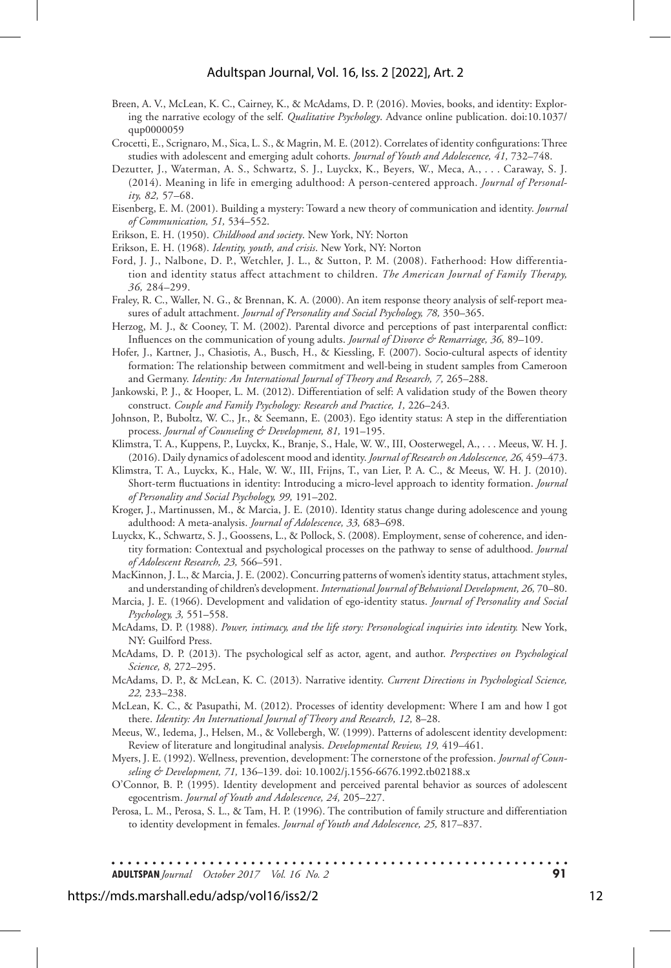- Breen, A. V., McLean, K. C., Cairney, K., & McAdams, D. P. (2016). Movies, books, and identity: Exploring the narrative ecology of the self. *Qualitative Psychology*. Advance online publication. doi:10.1037/ qup0000059
- Crocetti, E., Scrignaro, M., Sica, L. S., & Magrin, M. E. (2012). Correlates of identity configurations: Three studies with adolescent and emerging adult cohorts. *Journal of Youth and Adolescence, 41,* 732–748.
- Dezutter, J., Waterman, A. S., Schwartz, S. J., Luyckx, K., Beyers, W., Meca, A., . . . Caraway, S. J. (2014). Meaning in life in emerging adulthood: A person-centered approach. *Journal of Personality, 82,* 57–68.
- Eisenberg, E. M. (2001). Building a mystery: Toward a new theory of communication and identity. *Journal of Communication, 51,* 534–552.
- Erikson, E. H. (1950). *Childhood and society*. New York, NY: Norton
- Erikson, E. H. (1968). *Identity, youth, and crisis*. New York, NY: Norton
- Ford, J. J., Nalbone, D. P., Wetchler, J. L., & Sutton, P. M. (2008). Fatherhood: How differentiation and identity status affect attachment to children. *The American Journal of Family Therapy, 36,* 284–299.
- Fraley, R. C., Waller, N. G., & Brennan, K. A. (2000). An item response theory analysis of self-report measures of adult attachment. *Journal of Personality and Social Psychology, 78,* 350–365.
- Herzog, M. J., & Cooney, T. M. (2002). Parental divorce and perceptions of past interparental conflict: Influences on the communication of young adults. *Journal of Divorce & Remarriage, 36,* 89–109.
- Hofer, J., Kartner, J., Chasiotis, A., Busch, H., & Kiessling, F. (2007). Socio-cultural aspects of identity formation: The relationship between commitment and well-being in student samples from Cameroon and Germany. *Identity: An International Journal of Theory and Research, 7,* 265–288.
- Jankowski, P. J., & Hooper, L. M. (2012). Differentiation of self: A validation study of the Bowen theory construct. *Couple and Family Psychology: Research and Practice, 1,* 226–243.
- Johnson, P., Buboltz, W. C., Jr., & Seemann, E. (2003). Ego identity status: A step in the differentiation process. *Journal of Counseling & Development, 81,* 191–195.
- Klimstra, T. A., Kuppens, P., Luyckx, K., Branje, S., Hale, W. W., III, Oosterwegel, A., . . . Meeus, W. H. J. (2016). Daily dynamics of adolescent mood and identity. *Journal of Research on Adolescence, 26,* 459–473.
- Klimstra, T. A., Luyckx, K., Hale, W. W., III, Frijns, T., van Lier, P. A. C., & Meeus, W. H. J. (2010). Short-term fluctuations in identity: Introducing a micro-level approach to identity formation. *Journal of Personality and Social Psychology, 99,* 191–202.
- Kroger, J., Martinussen, M., & Marcia, J. E. (2010). Identity status change during adolescence and young adulthood: A meta-analysis. *Journal of Adolescence, 33,* 683–698.
- Luyckx, K., Schwartz, S. J., Goossens, L., & Pollock, S. (2008). Employment, sense of coherence, and identity formation: Contextual and psychological processes on the pathway to sense of adulthood. *Journal of Adolescent Research, 23,* 566–591.

MacKinnon, J. L., & Marcia, J. E. (2002). Concurring patterns of women's identity status, attachment styles, and understanding of children's development. *International Journal of Behavioral Development*, 26, 70-80.

- Marcia, J. E. (1966). Development and validation of ego-identity status. *Journal of Personality and Social Psychology, 3,* 551–558.
- McAdams, D. P. (1988). *Power, intimacy, and the life story: Personological inquiries into identity.* New York, NY: Guilford Press.
- McAdams, D. P. (2013). The psychological self as actor, agent, and author. *Perspectives on Psychological Science, 8,* 272–295.
- McAdams, D. P., & McLean, K. C. (2013). Narrative identity. *Current Directions in Psychological Science, 22,* 233–238.
- McLean, K. C., & Pasupathi, M. (2012). Processes of identity development: Where I am and how I got there. *Identity: An International Journal of Theory and Research, 12,* 8–28.
- Meeus, W., Iedema, J., Helsen, M., & Vollebergh, W. (1999). Patterns of adolescent identity development: Review of literature and longitudinal analysis. *Developmental Review, 19,* 419–461.
- Myers, J. E. (1992). Wellness, prevention, development: The cornerstone of the profession. *Journal of Counseling & Development, 71,* 136–139. doi: 10.1002/j.1556-6676.1992.tb02188.x
- O'Connor, B. P. (1995). Identity development and perceived parental behavior as sources of adolescent egocentrism. *Journal of Youth and Adolescence, 24,* 205–227.
- Perosa, L. M., Perosa, S. L., & Tam, H. P. (1996). The contribution of family structure and differentiation to identity development in females. *Journal of Youth and Adolescence, 25,* 817–837.

**ADULTSPAN***Journal October 2017 Vol. 16 No. 2* **91**

https://mds.marshall.edu/adsp/vol16/iss2/2